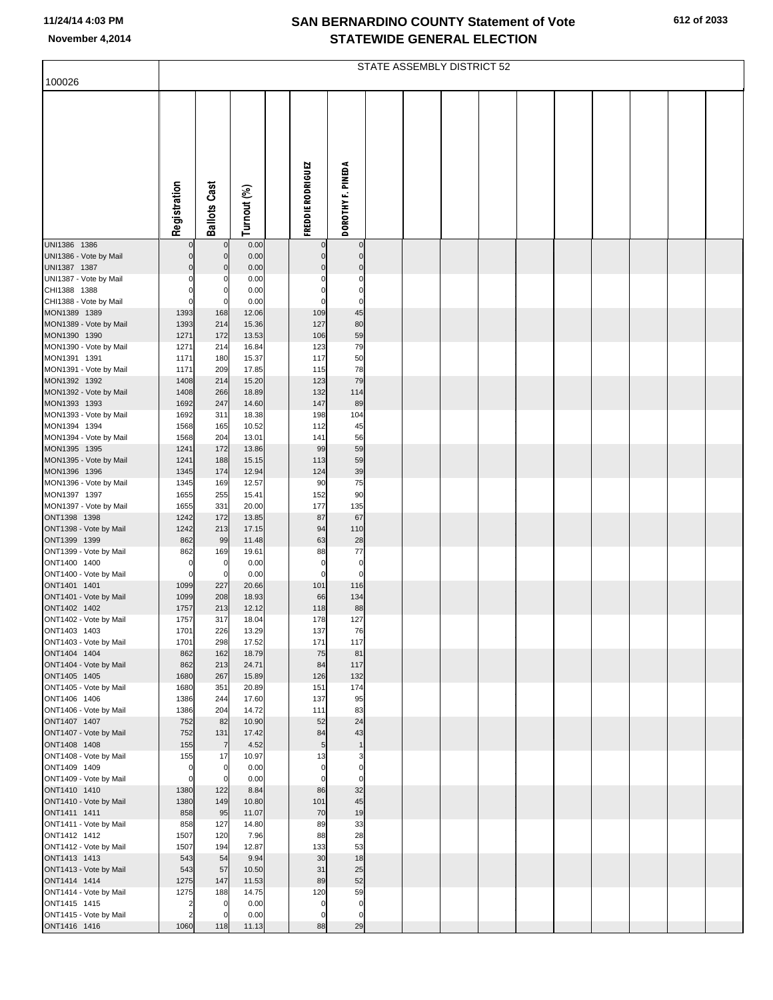|  | 612 of 2033 |
|--|-------------|
|  |             |

| 100026                                 | STATE ASSEMBLY DISTRICT 52 |                            |                |  |                          |                                  |  |  |  |  |  |  |  |  |  |  |
|----------------------------------------|----------------------------|----------------------------|----------------|--|--------------------------|----------------------------------|--|--|--|--|--|--|--|--|--|--|
|                                        |                            |                            |                |  |                          |                                  |  |  |  |  |  |  |  |  |  |  |
|                                        |                            |                            |                |  |                          |                                  |  |  |  |  |  |  |  |  |  |  |
|                                        |                            |                            |                |  |                          |                                  |  |  |  |  |  |  |  |  |  |  |
|                                        |                            |                            |                |  | FREDDIE RODRIGUEZ        | DOROTHY F. PINEDA                |  |  |  |  |  |  |  |  |  |  |
|                                        | Registration               | <b>Ballots Cast</b>        | Turnout (%)    |  |                          |                                  |  |  |  |  |  |  |  |  |  |  |
| UNI1386 1386                           |                            | $\mathbf 0$                | 0.00           |  | $\mathbf 0$              | $\overline{0}$                   |  |  |  |  |  |  |  |  |  |  |
| UNI1386 - Vote by Mail                 | 0                          | $\mathbf 0$                | 0.00           |  | $\pmb{0}$                | $\overline{0}$                   |  |  |  |  |  |  |  |  |  |  |
| UNI1387 1387<br>UNI1387 - Vote by Mail | 0                          | $\mathbf 0$<br>0           | 0.00<br>0.00   |  | $\mathbf{0}$<br>$\Omega$ | $\overline{0}$<br>$\mathbf 0$    |  |  |  |  |  |  |  |  |  |  |
| CHI1388 1388                           |                            | $\mathbf 0$                | 0.00           |  | $\mathbf 0$              | $\mathbf 0$                      |  |  |  |  |  |  |  |  |  |  |
| CHI1388 - Vote by Mail                 |                            | 0                          | 0.00           |  | $\mathbf 0$              | $\mathbf 0$                      |  |  |  |  |  |  |  |  |  |  |
| MON1389 1389<br>MON1389 - Vote by Mail | 1393<br>1393               | 168<br>214                 | 12.06<br>15.36 |  | 109<br>127               | 45<br>80                         |  |  |  |  |  |  |  |  |  |  |
| MON1390 1390                           | 1271                       | 172                        | 13.53          |  | 106                      | 59                               |  |  |  |  |  |  |  |  |  |  |
| MON1390 - Vote by Mail                 | 1271                       | 214                        | 16.84          |  | 123                      | 79                               |  |  |  |  |  |  |  |  |  |  |
| MON1391 1391                           | 1171                       | 180                        | 15.37          |  | 117                      | 50                               |  |  |  |  |  |  |  |  |  |  |
| MON1391 - Vote by Mail<br>MON1392 1392 | 1171<br>1408               | 209<br>214                 | 17.85<br>15.20 |  | 115<br>123               | 78<br>79                         |  |  |  |  |  |  |  |  |  |  |
| MON1392 - Vote by Mail                 | 1408                       | 266                        | 18.89          |  | 132                      | 114                              |  |  |  |  |  |  |  |  |  |  |
| MON1393 1393                           | 1692                       | 247                        | 14.60          |  | 147                      | 89                               |  |  |  |  |  |  |  |  |  |  |
| MON1393 - Vote by Mail<br>MON1394 1394 | 1692<br>1568               | 311                        | 18.38<br>10.52 |  | 198                      | 104<br>45                        |  |  |  |  |  |  |  |  |  |  |
| MON1394 - Vote by Mail                 | 1568                       | 165<br>204                 | 13.01          |  | 112<br>141               | 56                               |  |  |  |  |  |  |  |  |  |  |
| MON1395 1395                           | 1241                       | 172                        | 13.86          |  | 99                       | 59                               |  |  |  |  |  |  |  |  |  |  |
| MON1395 - Vote by Mail                 | 1241                       | 188                        | 15.15          |  | 113                      | 59                               |  |  |  |  |  |  |  |  |  |  |
| MON1396 1396<br>MON1396 - Vote by Mail | 1345<br>1345               | 174<br>169                 | 12.94<br>12.57 |  | 124<br>90                | 39<br>75                         |  |  |  |  |  |  |  |  |  |  |
| MON1397 1397                           | 1655                       | 255                        | 15.41          |  | 152                      | 90                               |  |  |  |  |  |  |  |  |  |  |
| MON1397 - Vote by Mail                 | 1655                       | 331                        | 20.00          |  | 177                      | 135                              |  |  |  |  |  |  |  |  |  |  |
| ONT1398 1398<br>ONT1398 - Vote by Mail | 1242<br>1242               | 172<br>213                 | 13.85<br>17.15 |  | 87<br>94                 | 67<br>110                        |  |  |  |  |  |  |  |  |  |  |
| ONT1399 1399                           | 862                        | 99                         | 11.48          |  | 63                       | 28                               |  |  |  |  |  |  |  |  |  |  |
| ONT1399 - Vote by Mail                 | 862                        | 169                        | 19.61          |  | 88                       | 77                               |  |  |  |  |  |  |  |  |  |  |
| ONT1400 1400                           |                            | 0                          | 0.00           |  | 0                        | $\mathbf 0$                      |  |  |  |  |  |  |  |  |  |  |
| ONT1400 - Vote by Mail<br>ONT1401 1401 | 0<br>1099                  | $\mathbf 0$<br>227         | 0.00<br>20.66  |  | $\mathbf 0$<br>101       | $\mathbf 0$<br>116               |  |  |  |  |  |  |  |  |  |  |
| ONT1401 - Vote by Mail                 | 1099                       | 208                        | 18.93          |  | 66                       | 134                              |  |  |  |  |  |  |  |  |  |  |
| ONT1402 1402                           | 1757                       | 213                        | 12.12          |  | 118                      | 88                               |  |  |  |  |  |  |  |  |  |  |
| ONT1402 - Vote by Mail<br>ONT1403 1403 | 1757<br>1701               | 317<br>226                 | 18.04<br>13.29 |  | 178<br>137               | 127<br>76                        |  |  |  |  |  |  |  |  |  |  |
| ONT1403 - Vote by Mail                 | 1701                       | 298                        | 17.52          |  | 171                      | 117                              |  |  |  |  |  |  |  |  |  |  |
| ONT1404 1404                           | 862                        | 162                        | 18.79          |  | 75                       | 81                               |  |  |  |  |  |  |  |  |  |  |
| ONT1404 - Vote by Mail<br>ONT1405 1405 | 862                        | 213                        | 24.71          |  | 84<br>126                | 117<br>132                       |  |  |  |  |  |  |  |  |  |  |
| ONT1405 - Vote by Mail                 | 1680<br>1680               | 267<br>351                 | 15.89<br>20.89 |  | 151                      | 174                              |  |  |  |  |  |  |  |  |  |  |
| ONT1406 1406                           | 1386                       | 244                        | 17.60          |  | 137                      | 95                               |  |  |  |  |  |  |  |  |  |  |
| ONT1406 - Vote by Mail                 | 1386                       | 204                        | 14.72          |  | 111                      | 83                               |  |  |  |  |  |  |  |  |  |  |
| ONT1407 1407<br>ONT1407 - Vote by Mail | 752<br>752                 | 82<br>131                  | 10.90<br>17.42 |  | 52<br>84                 | 24<br>43                         |  |  |  |  |  |  |  |  |  |  |
| ONT1408 1408                           | 155                        | $\overline{7}$             | 4.52           |  | 5                        | 1                                |  |  |  |  |  |  |  |  |  |  |
| ONT1408 - Vote by Mail                 | 155                        | 17                         | 10.97          |  | 13                       | 3                                |  |  |  |  |  |  |  |  |  |  |
| ONT1409 1409<br>ONT1409 - Vote by Mail | 0<br>0                     | $\mathbf 0$<br>$\mathbf 0$ | 0.00<br>0.00   |  | 0<br>$\mathbf 0$         | $\overline{0}$<br>$\overline{0}$ |  |  |  |  |  |  |  |  |  |  |
| ONT1410 1410                           | 1380                       | 122                        | 8.84           |  | 86                       | 32                               |  |  |  |  |  |  |  |  |  |  |
| ONT1410 - Vote by Mail                 | 1380                       | 149                        | 10.80          |  | 101                      | 45                               |  |  |  |  |  |  |  |  |  |  |
| ONT1411 1411                           | 858                        | 95                         | 11.07          |  | 70                       | 19                               |  |  |  |  |  |  |  |  |  |  |
| ONT1411 - Vote by Mail<br>ONT1412 1412 | 858<br>1507                | 127<br>120                 | 14.80<br>7.96  |  | 89<br>88                 | 33<br>28                         |  |  |  |  |  |  |  |  |  |  |
| ONT1412 - Vote by Mail                 | 1507                       | 194                        | 12.87          |  | 133                      | 53                               |  |  |  |  |  |  |  |  |  |  |
| ONT1413 1413                           | 543                        | 54                         | 9.94           |  | 30                       | 18                               |  |  |  |  |  |  |  |  |  |  |
| ONT1413 - Vote by Mail<br>ONT1414 1414 | 543<br>1275                | 57<br>147                  | 10.50<br>11.53 |  | 31<br>89                 | 25<br>52                         |  |  |  |  |  |  |  |  |  |  |
| ONT1414 - Vote by Mail                 | 1275                       | 188                        | 14.75          |  | 120                      | 59                               |  |  |  |  |  |  |  |  |  |  |
| ONT1415 1415                           |                            | 0                          | 0.00           |  | $\mathbf 0$              | $\mathbf 0$                      |  |  |  |  |  |  |  |  |  |  |
| ONT1415 - Vote by Mail                 |                            | 0                          | 0.00           |  | 0                        | $\mathbf 0$                      |  |  |  |  |  |  |  |  |  |  |
| ONT1416 1416                           | 1060                       | 118                        | 11.13          |  | 88                       | 29                               |  |  |  |  |  |  |  |  |  |  |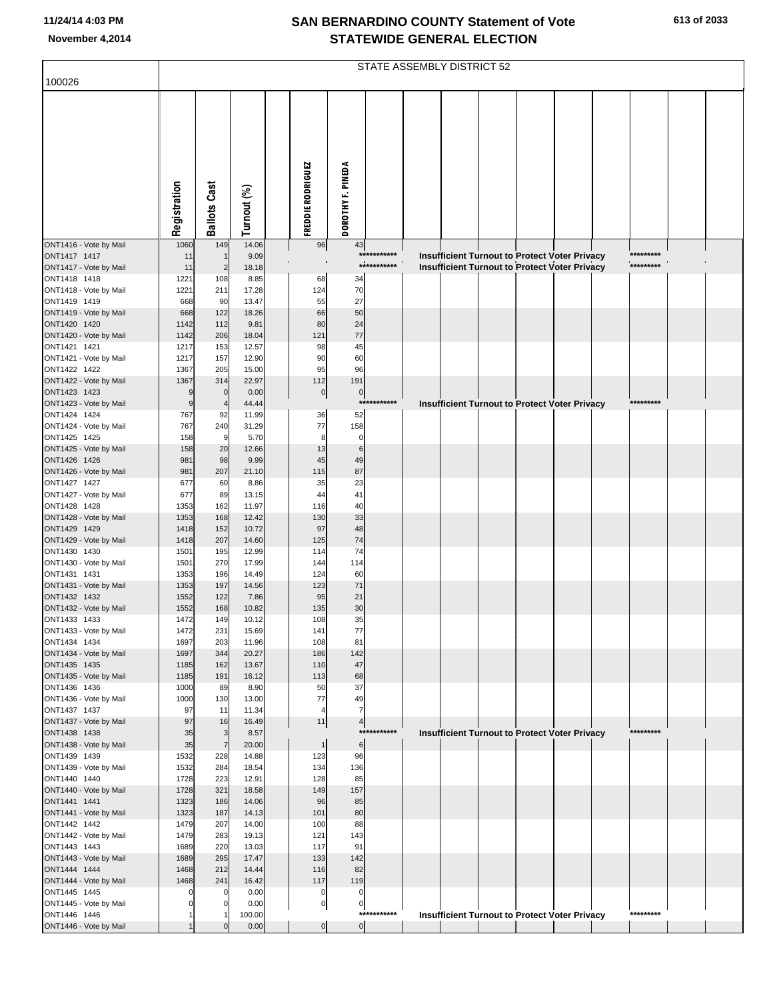|                                        | STATE ASSEMBLY DISTRICT 52 |                       |                |                   |                                  |             |                                                                                                |  |  |  |  |           |  |  |
|----------------------------------------|----------------------------|-----------------------|----------------|-------------------|----------------------------------|-------------|------------------------------------------------------------------------------------------------|--|--|--|--|-----------|--|--|
| 100026                                 |                            |                       |                |                   |                                  |             |                                                                                                |  |  |  |  |           |  |  |
|                                        |                            |                       |                |                   |                                  |             |                                                                                                |  |  |  |  |           |  |  |
|                                        | Registration               | <b>Ballots Cast</b>   | Turnout (%)    | FREDDIE RODRIGUEZ | DOROTHY F. PINEDA                |             |                                                                                                |  |  |  |  |           |  |  |
|                                        |                            |                       |                |                   |                                  |             |                                                                                                |  |  |  |  |           |  |  |
| ONT1416 - Vote by Mail<br>ONT1417 1417 | 1060<br>11                 | 149<br>$\overline{1}$ | 14.06<br>9.09  | 96                | 43                               | *********** |                                                                                                |  |  |  |  | ********* |  |  |
| ONT1417 - Vote by Mail                 | 11                         | $\overline{2}$        | 18.18          |                   |                                  | *********** | Insufficient Turnout to Protect Voter Privacy<br>Insufficient Turnout to Protect Voter Privacy |  |  |  |  | ********* |  |  |
| ONT1418 1418                           | 1221                       | 108                   | 8.85           | 68                | 34                               |             |                                                                                                |  |  |  |  |           |  |  |
| ONT1418 - Vote by Mail                 | 1221                       | 211                   | 17.28          | 124               | 70                               |             |                                                                                                |  |  |  |  |           |  |  |
| ONT1419 1419<br>ONT1419 - Vote by Mail | 668<br>668                 | 90<br>122             | 13.47<br>18.26 | 55<br>66          | 27<br>50                         |             |                                                                                                |  |  |  |  |           |  |  |
| ONT1420 1420                           | 1142                       | 112                   | 9.81           | 80                | 24                               |             |                                                                                                |  |  |  |  |           |  |  |
| ONT1420 - Vote by Mail                 | 1142                       | 206                   | 18.04          | 121               | 77                               |             |                                                                                                |  |  |  |  |           |  |  |
| ONT1421 1421                           | 1217                       | 153                   | 12.57          | 98                | 45                               |             |                                                                                                |  |  |  |  |           |  |  |
| ONT1421 - Vote by Mail<br>ONT1422 1422 | 1217<br>1367               | 157                   | 12.90          | 90<br>95          | 60<br>96                         |             |                                                                                                |  |  |  |  |           |  |  |
| ONT1422 - Vote by Mail                 | 1367                       | 205<br>314            | 15.00<br>22.97 | 112               | 191                              |             |                                                                                                |  |  |  |  |           |  |  |
| ONT1423 1423                           | 9                          | $\mathbf 0$           | 0.00           | $\pmb{0}$         | $\overline{0}$                   |             |                                                                                                |  |  |  |  |           |  |  |
| ONT1423 - Vote by Mail                 | $\overline{9}$             |                       | 44.44          |                   |                                  | *********** | <b>Insufficient Turnout to Protect Voter Privacy</b>                                           |  |  |  |  | ********* |  |  |
| ONT1424 1424                           | 767                        | 92                    | 11.99          | 36                | 52                               |             |                                                                                                |  |  |  |  |           |  |  |
| ONT1424 - Vote by Mail<br>ONT1425 1425 | 767<br>158                 | 240<br>9              | 31.29<br>5.70  | 77<br>8           | 158<br>$\mathbf 0$               |             |                                                                                                |  |  |  |  |           |  |  |
| ONT1425 - Vote by Mail                 | 158                        | 20                    | 12.66          | 13                | $6\phantom{1}6$                  |             |                                                                                                |  |  |  |  |           |  |  |
| ONT1426 1426                           | 981                        | 98                    | 9.99           | 45                | 49                               |             |                                                                                                |  |  |  |  |           |  |  |
| ONT1426 - Vote by Mail                 | 981                        | 207                   | 21.10          | 115               | 87                               |             |                                                                                                |  |  |  |  |           |  |  |
| ONT1427 1427<br>ONT1427 - Vote by Mail | 677<br>677                 | 60<br>89              | 8.86<br>13.15  | 35<br>44          | 23<br>41                         |             |                                                                                                |  |  |  |  |           |  |  |
| ONT1428 1428                           | 1353                       | 162                   | 11.97          | 116               | 40                               |             |                                                                                                |  |  |  |  |           |  |  |
| ONT1428 - Vote by Mail                 | 1353                       | 168                   | 12.42          | 130               | 33                               |             |                                                                                                |  |  |  |  |           |  |  |
| ONT1429 1429                           | 1418                       | 152                   | 10.72          | 97                | 48                               |             |                                                                                                |  |  |  |  |           |  |  |
| ONT1429 - Vote by Mail<br>ONT1430 1430 | 1418<br>1501               | 207<br>195            | 14.60<br>12.99 | 125<br>114        | 74<br>74                         |             |                                                                                                |  |  |  |  |           |  |  |
| ONT1430 - Vote by Mail                 | 1501                       | 270                   | 17.99          | 144               | 114                              |             |                                                                                                |  |  |  |  |           |  |  |
| ONT1431 1431                           | 1353                       | 196                   | 14.49          | 124               | 60                               |             |                                                                                                |  |  |  |  |           |  |  |
| ONT1431 - Vote by Mail                 | 1353                       | 197                   | 14.56          | 123               | 71                               |             |                                                                                                |  |  |  |  |           |  |  |
| ONT1432 1432<br>ONT1432 - Vote by Mail | 1552<br>1552               | 122<br>168            | 7.86<br>10.82  | 95<br>135         | 21<br>30                         |             |                                                                                                |  |  |  |  |           |  |  |
| ONT1433 1433                           | 1472                       | 149                   | 10.12          | 108               | 35                               |             |                                                                                                |  |  |  |  |           |  |  |
| ONT1433 - Vote by Mail                 | 1472                       | 231                   | 15.69          | 141               | 77                               |             |                                                                                                |  |  |  |  |           |  |  |
| ONT1434 1434                           | 1697                       | 203                   | 11.96          | 108               | 81                               |             |                                                                                                |  |  |  |  |           |  |  |
| ONT1434 - Vote by Mail                 | 1697                       | 344                   | 20.27          | 186               | 142<br>47                        |             |                                                                                                |  |  |  |  |           |  |  |
| ONT1435 1435<br>ONT1435 - Vote by Mail | 1185<br>1185               | 162<br>191            | 13.67<br>16.12 | 110<br>113        | 68                               |             |                                                                                                |  |  |  |  |           |  |  |
| ONT1436 1436                           | 1000                       | 89                    | 8.90           | 50                | 37                               |             |                                                                                                |  |  |  |  |           |  |  |
| ONT1436 - Vote by Mail                 | 1000                       | 130                   | 13.00          | 77                | 49                               |             |                                                                                                |  |  |  |  |           |  |  |
| ONT1437 1437                           | 97<br>97                   | 11<br>16              | 11.34<br>16.49 | 4<br>11           | $\overline{7}$                   |             |                                                                                                |  |  |  |  |           |  |  |
| ONT1437 - Vote by Mail<br>ONT1438 1438 | 35                         | 3                     | 8.57           |                   | 4                                | *********** | Insufficient Turnout to Protect Voter Privacy                                                  |  |  |  |  | ********* |  |  |
| ONT1438 - Vote by Mail                 | 35                         | $\overline{7}$        | 20.00          | $\overline{1}$    | 6                                |             |                                                                                                |  |  |  |  |           |  |  |
| ONT1439 1439                           | 1532                       | 228                   | 14.88          | 123               | 96                               |             |                                                                                                |  |  |  |  |           |  |  |
| ONT1439 - Vote by Mail<br>ONT1440 1440 | 1532                       | 284<br>223            | 18.54<br>12.91 | 134<br>128        | 136<br>85                        |             |                                                                                                |  |  |  |  |           |  |  |
| ONT1440 - Vote by Mail                 | 1728<br>1728               | 321                   | 18.58          | 149               | 157                              |             |                                                                                                |  |  |  |  |           |  |  |
| ONT1441 1441                           | 1323                       | 186                   | 14.06          | 96                | 85                               |             |                                                                                                |  |  |  |  |           |  |  |
| ONT1441 - Vote by Mail                 | 1323                       | 187                   | 14.13          | 101               | 80                               |             |                                                                                                |  |  |  |  |           |  |  |
| ONT1442 1442                           | 1479                       | 207                   | 14.00          | 100               | 88                               |             |                                                                                                |  |  |  |  |           |  |  |
| ONT1442 - Vote by Mail<br>ONT1443 1443 | 1479<br>1689               | 283<br>220            | 19.13<br>13.03 | 121<br>117        | 143<br>91                        |             |                                                                                                |  |  |  |  |           |  |  |
| ONT1443 - Vote by Mail                 | 1689                       | 295                   | 17.47          | 133               | 142                              |             |                                                                                                |  |  |  |  |           |  |  |
| ONT1444 1444                           | 1468                       | 212                   | 14.44          | 116               | 82                               |             |                                                                                                |  |  |  |  |           |  |  |
| ONT1444 - Vote by Mail                 | 1468                       | 241                   | 16.42          | 117               | 119                              |             |                                                                                                |  |  |  |  |           |  |  |
| ONT1445 1445<br>ONT1445 - Vote by Mail | $\Omega$<br>$\Omega$       |                       | 0.00<br>0.00   | 0<br>$\pmb{0}$    | 0<br>$\mathbf 0$                 |             |                                                                                                |  |  |  |  |           |  |  |
| ONT1446 1446                           |                            |                       | 100.00         |                   |                                  | *********** | <b>Insufficient Turnout to Protect Voter Privacy</b>                                           |  |  |  |  | ********* |  |  |
| ONT1446 - Vote by Mail                 |                            |                       | 0.00           |                   | $\overline{0}$<br>$\overline{0}$ |             |                                                                                                |  |  |  |  |           |  |  |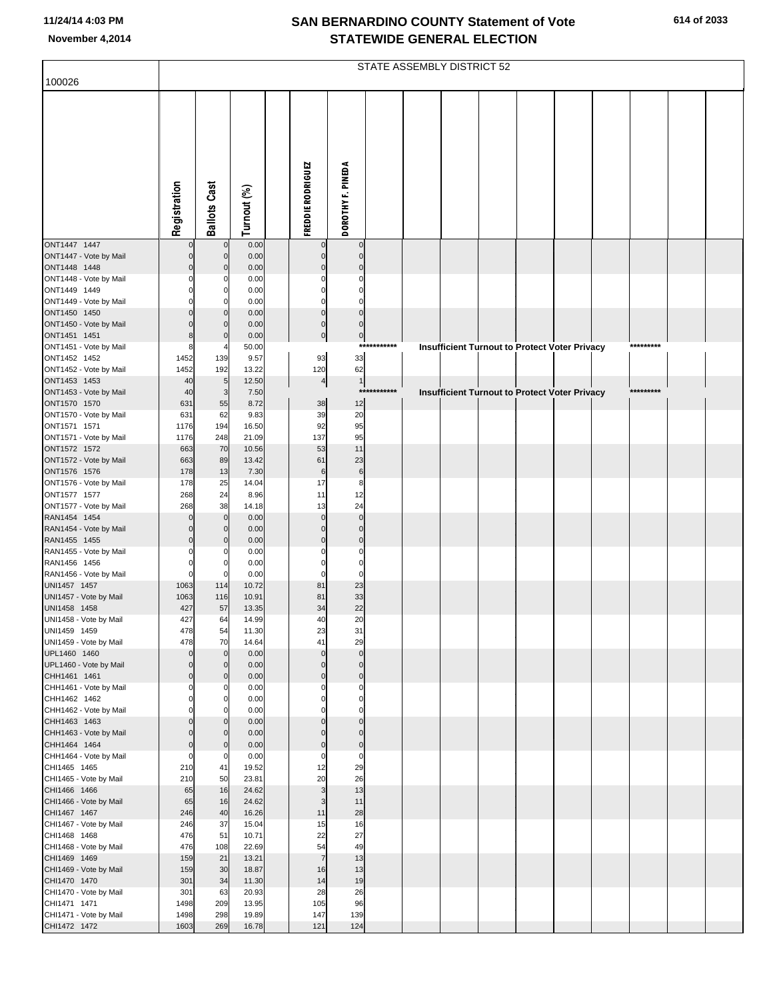| 100026                                 |                            | STATE ASSEMBLY DISTRICT 52 |                |  |                            |                             |         |  |  |  |  |                                               |  |           |  |  |
|----------------------------------------|----------------------------|----------------------------|----------------|--|----------------------------|-----------------------------|---------|--|--|--|--|-----------------------------------------------|--|-----------|--|--|
|                                        | Registration               | <b>Ballots Cast</b>        | Turnout (%)    |  | FREDDIE RODRIGUEZ          | DOROTHY F. PINEDA           |         |  |  |  |  |                                               |  |           |  |  |
| ONT1447 1447<br>ONT1447 - Vote by Mail | $\mathbf 0$<br>$\mathbf 0$ | $\Omega$<br>$\mathbf 0$    | 0.00<br>0.00   |  | $\mathbf 0$<br>$\mathbf 0$ | $\mathbf 0$<br>$\mathbf{0}$ |         |  |  |  |  |                                               |  |           |  |  |
| ONT1448 1448                           | $\Omega$                   | $\mathbf 0$                | 0.00           |  | $\Omega$                   | $\mathbf 0$                 |         |  |  |  |  |                                               |  |           |  |  |
| ONT1448 - Vote by Mail<br>ONT1449 1449 | C<br>C                     | 0<br>0                     | 0.00<br>0.00   |  | $\Omega$                   | $\Omega$<br>$\mathbf 0$     |         |  |  |  |  |                                               |  |           |  |  |
| ONT1449 - Vote by Mail                 |                            | O                          | 0.00           |  | C                          | $\Omega$                    |         |  |  |  |  |                                               |  |           |  |  |
| ONT1450 1450                           |                            | $\mathbf 0$                | 0.00           |  | $\mathbf 0$                | $\mathbf{0}$                |         |  |  |  |  |                                               |  |           |  |  |
| ONT1450 - Vote by Mail                 |                            | $\mathbf 0$                | 0.00           |  | $\mathbf 0$                | $\mathbf{0}$                |         |  |  |  |  |                                               |  |           |  |  |
| ONT1451 1451<br>ONT1451 - Vote by Mail | 8<br>8                     | $\mathbf 0$                | 0.00<br>50.00  |  | $\pmb{0}$                  | $\pmb{0}$<br>$***$          | ******* |  |  |  |  |                                               |  | ********* |  |  |
| ONT1452 1452                           | 1452                       | 139                        | 9.57           |  | 93                         | 33                          |         |  |  |  |  | Insufficient Turnout to Protect Voter Privacy |  |           |  |  |
| ONT1452 - Vote by Mail                 | 1452                       | 192                        | 13.22          |  | 120                        | 62                          |         |  |  |  |  |                                               |  |           |  |  |
| ONT1453 1453                           | 40                         | $5\phantom{.0}$            | 12.50          |  | 4                          | $\mathbf{1}$                |         |  |  |  |  |                                               |  |           |  |  |
| ONT1453 - Vote by Mail                 | 40                         | 3                          | 7.50           |  |                            | $***$                       | ******* |  |  |  |  | Insufficient Turnout to Protect Voter Privacy |  | ********* |  |  |
| ONT1570 1570<br>ONT1570 - Vote by Mail | 631<br>631                 | 55<br>62                   | 8.72<br>9.83   |  | 38<br>39                   | 12<br>20                    |         |  |  |  |  |                                               |  |           |  |  |
| ONT1571 1571                           | 1176                       | 194                        | 16.50          |  | 92                         | 95                          |         |  |  |  |  |                                               |  |           |  |  |
| ONT1571 - Vote by Mail                 | 1176                       | 248                        | 21.09          |  | 137                        | 95                          |         |  |  |  |  |                                               |  |           |  |  |
| ONT1572 1572                           | 663                        | 70                         | 10.56          |  | 53                         | 11                          |         |  |  |  |  |                                               |  |           |  |  |
| ONT1572 - Vote by Mail                 | 663                        | 89                         | 13.42          |  | 61                         | 23                          |         |  |  |  |  |                                               |  |           |  |  |
| ONT1576 1576<br>ONT1576 - Vote by Mail | 178<br>178                 | 13<br>25                   | 7.30<br>14.04  |  | $\,6$<br>17                | $\,6$<br>8                  |         |  |  |  |  |                                               |  |           |  |  |
| ONT1577 1577                           | 268                        | 24                         | 8.96           |  | 11                         | 12                          |         |  |  |  |  |                                               |  |           |  |  |
| ONT1577 - Vote by Mail                 | 268                        | 38                         | 14.18          |  | 13                         | 24                          |         |  |  |  |  |                                               |  |           |  |  |
| RAN1454 1454                           | $\Omega$                   | $\mathbf 0$                | 0.00           |  | $\mathbf 0$                | $\mathbf 0$                 |         |  |  |  |  |                                               |  |           |  |  |
| RAN1454 - Vote by Mail                 | $\Omega$                   | $\mathbf 0$                | 0.00           |  | $\mathsf{C}$               | $\mathbf 0$                 |         |  |  |  |  |                                               |  |           |  |  |
| RAN1455 1455<br>RAN1455 - Vote by Mail | $\Omega$                   | $\mathbf 0$                | 0.00<br>0.00   |  | $\mathsf{C}$               | $\mathbf 0$<br>$\Omega$     |         |  |  |  |  |                                               |  |           |  |  |
| RAN1456 1456                           | 0                          | 0                          | 0.00           |  | C                          | $\mathbf 0$                 |         |  |  |  |  |                                               |  |           |  |  |
| RAN1456 - Vote by Mail                 | $\mathbf 0$                | 0                          | 0.00           |  | C                          | $\mathbf 0$                 |         |  |  |  |  |                                               |  |           |  |  |
| UNI1457 1457                           | 1063                       | 114                        | 10.72          |  | 81                         | 23                          |         |  |  |  |  |                                               |  |           |  |  |
| UNI1457 - Vote by Mail                 | 1063                       | 116                        | 10.91          |  | 81                         | 33                          |         |  |  |  |  |                                               |  |           |  |  |
| UNI1458 1458<br>UNI1458 - Vote by Mail | 427<br>427                 | 57<br>64                   | 13.35<br>14.99 |  | 34<br>40                   | 22<br>20                    |         |  |  |  |  |                                               |  |           |  |  |
| UNI1459 1459                           | 478                        | 54                         | 11.30          |  | 23                         | 31                          |         |  |  |  |  |                                               |  |           |  |  |
| UNI1459 - Vote by Mail                 | 478                        | 70                         | 14.64          |  | 41                         | 29                          |         |  |  |  |  |                                               |  |           |  |  |
| UPL1460 1460                           | $\Omega$                   | $\mathbf 0$                | 0.00           |  | $\Omega$                   | $\overline{0}$              |         |  |  |  |  |                                               |  |           |  |  |
| UPL1460 - Vote by Mail<br>CHH1461 1461 | $\Omega$<br>$\mathbf 0$    | $\mathbf 0$<br>$\mathbf 0$ | 0.00<br>0.00   |  | C<br>$\mathbf 0$           | $\Omega$<br>$\mathbf 0$     |         |  |  |  |  |                                               |  |           |  |  |
| CHH1461 - Vote by Mail                 | $\Omega$                   | 0                          | 0.00           |  |                            | $\Omega$                    |         |  |  |  |  |                                               |  |           |  |  |
| CHH1462 1462                           | 0                          | 0                          | 0.00           |  | C                          | $\mathbf 0$                 |         |  |  |  |  |                                               |  |           |  |  |
| CHH1462 - Vote by Mail                 |                            |                            | 0.00           |  |                            | $\Omega$                    |         |  |  |  |  |                                               |  |           |  |  |
| CHH1463 1463<br>CHH1463 - Vote by Mail | $\Omega$<br>$\Omega$       | $\mathbf 0$<br>$\mathbf 0$ | 0.00<br>0.00   |  | C<br>C                     | $\mathbf 0$<br>$\mathbf{0}$ |         |  |  |  |  |                                               |  |           |  |  |
| CHH1464 1464                           | $\mathbf 0$                | $\mathbf 0$                | 0.00           |  | C                          | $\mathbf 0$                 |         |  |  |  |  |                                               |  |           |  |  |
| CHH1464 - Vote by Mail                 | 0                          | 0                          | 0.00           |  | $\Omega$                   | $\mathbf 0$                 |         |  |  |  |  |                                               |  |           |  |  |
| CHI1465 1465                           | 210                        | 41                         | 19.52          |  | 12                         | 29                          |         |  |  |  |  |                                               |  |           |  |  |
| CHI1465 - Vote by Mail                 | 210                        | 50                         | 23.81          |  | 20<br>3                    | 26                          |         |  |  |  |  |                                               |  |           |  |  |
| CHI1466 1466<br>CHI1466 - Vote by Mail | 65<br>65                   | 16<br>16                   | 24.62<br>24.62 |  | 3                          | 13<br>11                    |         |  |  |  |  |                                               |  |           |  |  |
| CHI1467 1467                           | 246                        | 40                         | 16.26          |  | 11                         | 28                          |         |  |  |  |  |                                               |  |           |  |  |
| CHI1467 - Vote by Mail                 | 246                        | 37                         | 15.04          |  | 15                         | 16                          |         |  |  |  |  |                                               |  |           |  |  |
| CHI1468 1468                           | 476                        | 51                         | 10.71          |  | 22                         | 27                          |         |  |  |  |  |                                               |  |           |  |  |
| CHI1468 - Vote by Mail                 | 476                        | 108                        | 22.69          |  | 54<br>$\overline{7}$       | 49                          |         |  |  |  |  |                                               |  |           |  |  |
| CHI1469 1469<br>CHI1469 - Vote by Mail | 159<br>159                 | 21<br>30                   | 13.21<br>18.87 |  | 16                         | 13<br>13                    |         |  |  |  |  |                                               |  |           |  |  |
| CHI1470 1470                           | 301                        | 34                         | 11.30          |  | 14                         | 19                          |         |  |  |  |  |                                               |  |           |  |  |
| CHI1470 - Vote by Mail                 | 301                        | 63                         | 20.93          |  | 28                         | 26                          |         |  |  |  |  |                                               |  |           |  |  |
| CHI1471 1471                           | 1498                       | 209                        | 13.95          |  | 105                        | 96                          |         |  |  |  |  |                                               |  |           |  |  |
| CHI1471 - Vote by Mail                 | 1498                       | 298                        | 19.89          |  | 147                        | 139                         |         |  |  |  |  |                                               |  |           |  |  |
| CHI1472 1472                           | 1603                       | 269                        | 16.78          |  | 121                        | 124                         |         |  |  |  |  |                                               |  |           |  |  |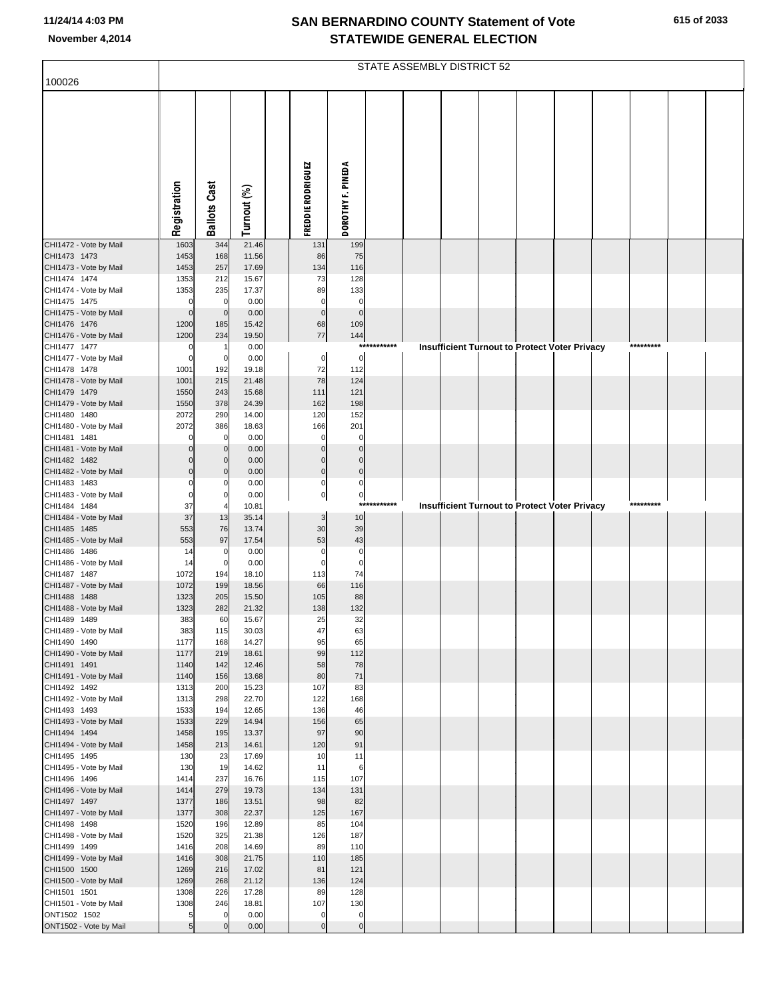|                                        | STATE ASSEMBLY DISTRICT 52 |                               |                |  |                             |                               |             |  |  |  |  |                                                      |  |           |  |  |
|----------------------------------------|----------------------------|-------------------------------|----------------|--|-----------------------------|-------------------------------|-------------|--|--|--|--|------------------------------------------------------|--|-----------|--|--|
| 100026                                 |                            |                               |                |  |                             |                               |             |  |  |  |  |                                                      |  |           |  |  |
|                                        | Registration               | <b>Ballots Cast</b>           | Turnout (%)    |  | FREDDIE RODRIGUEZ           | DOROTHY F. PINEDA             |             |  |  |  |  |                                                      |  |           |  |  |
| CHI1472 - Vote by Mail                 | 1603                       | 344                           | 21.46          |  | 131                         | 199                           |             |  |  |  |  |                                                      |  |           |  |  |
| CHI1473 1473<br>CHI1473 - Vote by Mail | 1453<br>1453               | 168<br>257                    | 11.56<br>17.69 |  | 86<br>134                   | 75<br>116                     |             |  |  |  |  |                                                      |  |           |  |  |
| CHI1474 1474                           | 1353                       | 212                           | 15.67          |  | 73                          | 128                           |             |  |  |  |  |                                                      |  |           |  |  |
| CHI1474 - Vote by Mail                 | 1353                       | 235                           | 17.37          |  | 89                          | 133                           |             |  |  |  |  |                                                      |  |           |  |  |
| CHI1475 1475<br>CHI1475 - Vote by Mail | $\Omega$<br>$\mathbf 0$    | $\mathbf 0$<br>$\overline{0}$ | 0.00<br>0.00   |  | $\mathbf 0$<br>$\mathbf{0}$ | $\mathbf 0$<br>$\overline{0}$ |             |  |  |  |  |                                                      |  |           |  |  |
| CHI1476 1476                           | 1200                       | 185                           | 15.42          |  | 68                          | 109                           |             |  |  |  |  |                                                      |  |           |  |  |
| CHI1476 - Vote by Mail                 | 1200                       | 234                           | 19.50          |  | $77 \,$                     | 144                           |             |  |  |  |  |                                                      |  |           |  |  |
| CHI1477 1477<br>CHI1477 - Vote by Mail | C<br>$\mathcal{C}$         | $\overline{0}$                | 0.00<br>0.00   |  | 0                           | $\mathbf 0$                   | *********** |  |  |  |  | Insufficient Turnout to Protect Voter Privacy        |  | ********* |  |  |
| CHI1478 1478                           | 1001                       | 192                           | 19.18          |  | 72                          | 112                           |             |  |  |  |  |                                                      |  |           |  |  |
| CHI1478 - Vote by Mail                 | 1001                       | 215                           | 21.48          |  | 78                          | 124                           |             |  |  |  |  |                                                      |  |           |  |  |
| CHI1479 1479<br>CHI1479 - Vote by Mail | 1550<br>1550               | 243<br>378                    | 15.68<br>24.39 |  | 111<br>162                  | 121<br>198                    |             |  |  |  |  |                                                      |  |           |  |  |
| CHI1480 1480                           | 2072                       | 290                           | 14.00          |  | 120                         | 152                           |             |  |  |  |  |                                                      |  |           |  |  |
| CHI1480 - Vote by Mail                 | 2072                       | 386                           | 18.63          |  | 166                         | 201                           |             |  |  |  |  |                                                      |  |           |  |  |
| CHI1481 1481                           |                            | $\mathbf 0$                   | 0.00           |  | $\mathcal{C}$               | $\Omega$                      |             |  |  |  |  |                                                      |  |           |  |  |
| CHI1481 - Vote by Mail<br>CHI1482 1482 |                            | $\mathbf 0$<br>$\overline{0}$ | 0.00<br>0.00   |  | C<br>$\mathsf{C}$           | $\Omega$<br>$\Omega$          |             |  |  |  |  |                                                      |  |           |  |  |
| CHI1482 - Vote by Mail                 | $\Omega$                   | $\overline{0}$                | 0.00           |  | $\mathbf 0$                 | $\mathbf 0$                   |             |  |  |  |  |                                                      |  |           |  |  |
| CHI1483 1483                           |                            | $\mathbf 0$                   | 0.00           |  | $\Omega$                    | $\Omega$                      |             |  |  |  |  |                                                      |  |           |  |  |
| CHI1483 - Vote by Mail<br>CHI1484 1484 | $\epsilon$<br>37           | $\mathbf 0$                   | 0.00<br>10.81  |  | $\pmb{0}$                   | $\mathbf 0$<br>***            | ********    |  |  |  |  | <b>Insufficient Turnout to Protect Voter Privacy</b> |  | ********* |  |  |
| CHI1484 - Vote by Mail                 | 37                         | 13                            | 35.14          |  | 3                           | 10                            |             |  |  |  |  |                                                      |  |           |  |  |
| CHI1485 1485                           | 553                        | 76                            | 13.74          |  | 30                          | 39                            |             |  |  |  |  |                                                      |  |           |  |  |
| CHI1485 - Vote by Mail<br>CHI1486 1486 | 553<br>14                  | 97<br>$\mathbf 0$             | 17.54<br>0.00  |  | 53<br>$\mathbf 0$           | 43<br>$\mathbf 0$             |             |  |  |  |  |                                                      |  |           |  |  |
| CHI1486 - Vote by Mail                 | 14                         | $\overline{0}$                | 0.00           |  | $\mathcal{C}$               | $\mathbf 0$                   |             |  |  |  |  |                                                      |  |           |  |  |
| CHI1487 1487                           | 1072                       | 194                           | 18.10          |  | 113                         | 74                            |             |  |  |  |  |                                                      |  |           |  |  |
| CHI1487 - Vote by Mail<br>CHI1488 1488 | 1072<br>1323               | 199<br>205                    | 18.56<br>15.50 |  | 66<br>105                   | 116<br>88                     |             |  |  |  |  |                                                      |  |           |  |  |
| CHI1488 - Vote by Mail                 | 1323                       | 282                           | 21.32          |  | 138                         | 132                           |             |  |  |  |  |                                                      |  |           |  |  |
| CHI1489 1489                           | 383                        | 60                            | 15.67          |  | 25                          | 32                            |             |  |  |  |  |                                                      |  |           |  |  |
| CHI1489 - Vote by Mail<br>CHI1490 1490 | 383<br>1177                | 115<br>168                    | 30.03<br>14.27 |  | 47<br>95                    | 63<br>65                      |             |  |  |  |  |                                                      |  |           |  |  |
| CHI1490 - Vote by Mail                 | 1177                       | 219                           | 18.61          |  | 99                          | 112                           |             |  |  |  |  |                                                      |  |           |  |  |
| CHI1491 1491                           | 1140                       | 142                           | 12.46          |  | 58                          | 78                            |             |  |  |  |  |                                                      |  |           |  |  |
| CHI1491 - Vote by Mail<br>CHI1492 1492 | 1140<br>1313               | 156<br>200                    | 13.68<br>15.23 |  | 80<br>107                   | 71<br>83                      |             |  |  |  |  |                                                      |  |           |  |  |
| CHI1492 - Vote by Mail                 | 1313                       | 298                           | 22.70          |  | 122                         | 168                           |             |  |  |  |  |                                                      |  |           |  |  |
| CHI1493 1493                           | 1533                       | 194                           | 12.65<br>14.94 |  | 136                         | 46                            |             |  |  |  |  |                                                      |  |           |  |  |
| CHI1493 - Vote by Mail<br>CHI1494 1494 | 1533<br>1458               | 229<br>195                    | 13.37          |  | 156<br>97                   | 65<br>90                      |             |  |  |  |  |                                                      |  |           |  |  |
| CHI1494 - Vote by Mail                 | 1458                       | 213                           | 14.61          |  | 120                         | 91                            |             |  |  |  |  |                                                      |  |           |  |  |
| CHI1495 1495                           | 130                        | 23                            | 17.69          |  | 10                          | 11                            |             |  |  |  |  |                                                      |  |           |  |  |
| CHI1495 - Vote by Mail<br>CHI1496 1496 | 130<br>1414                | 19<br>237                     | 14.62<br>16.76 |  | 11<br>115                   | 6<br>107                      |             |  |  |  |  |                                                      |  |           |  |  |
| CHI1496 - Vote by Mail                 | 1414                       | 279                           | 19.73          |  | 134                         | 131                           |             |  |  |  |  |                                                      |  |           |  |  |
| CHI1497 1497                           | 1377                       | 186                           | 13.51          |  | 98                          | 82                            |             |  |  |  |  |                                                      |  |           |  |  |
| CHI1497 - Vote by Mail<br>CHI1498 1498 | 1377<br>1520               | 308<br>196                    | 22.37<br>12.89 |  | 125<br>85                   | 167<br>104                    |             |  |  |  |  |                                                      |  |           |  |  |
| CHI1498 - Vote by Mail                 | 1520                       | 325                           | 21.38          |  | 126                         | 187                           |             |  |  |  |  |                                                      |  |           |  |  |
| CHI1499 1499                           | 1416                       | 208                           | 14.69          |  | 89                          | 110                           |             |  |  |  |  |                                                      |  |           |  |  |
| CHI1499 - Vote by Mail<br>CHI1500 1500 | 1416<br>1269               | 308<br>216                    | 21.75<br>17.02 |  | 110<br>81                   | 185<br>121                    |             |  |  |  |  |                                                      |  |           |  |  |
| CHI1500 - Vote by Mail                 | 1269                       | 268                           | 21.12          |  | 136                         | 124                           |             |  |  |  |  |                                                      |  |           |  |  |
| CHI1501 1501                           | 1308                       | 226                           | 17.28          |  | 89                          | 128                           |             |  |  |  |  |                                                      |  |           |  |  |
| CHI1501 - Vote by Mail<br>ONT1502 1502 | 1308<br>5                  | 246<br>$\mathbf 0$            | 18.81<br>0.00  |  | 107<br>$\mathbf 0$          | 130<br>$\mathbf 0$            |             |  |  |  |  |                                                      |  |           |  |  |
| ONT1502 - Vote by Mail                 | 5                          | $\Omega$                      | 0.00           |  | $\mathsf{C}$                | $\mathbf 0$                   |             |  |  |  |  |                                                      |  |           |  |  |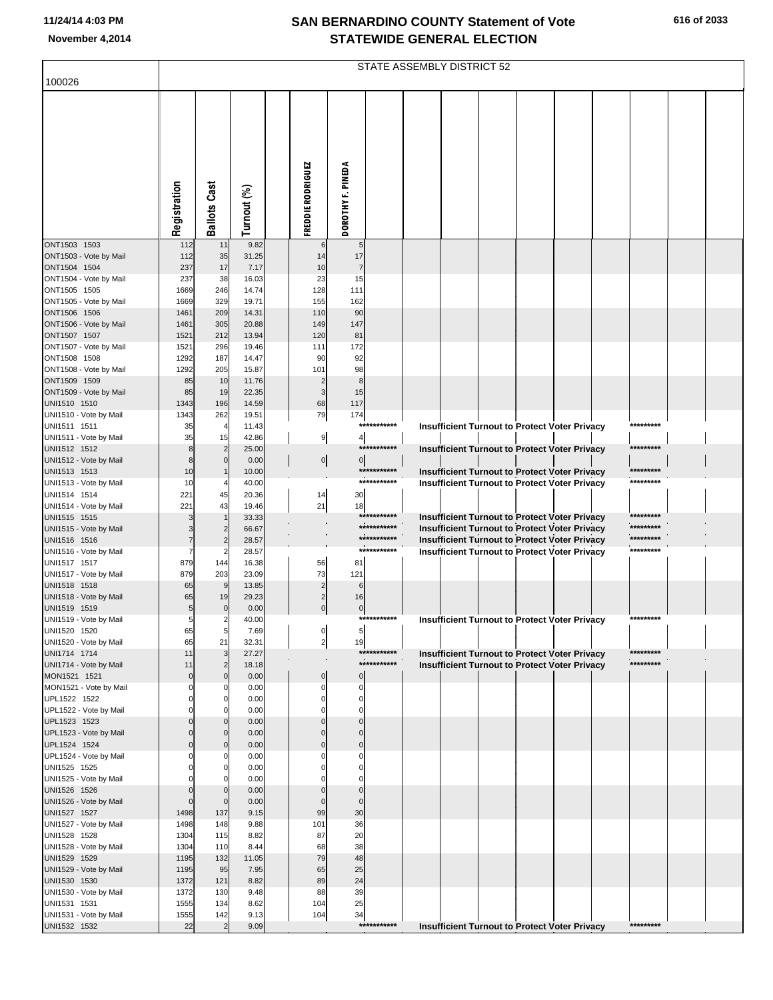| 100026                                 | STATE ASSEMBLY DISTRICT 52 |                      |                |                                |                          |             |  |  |  |  |                                                      |  |           |  |  |
|----------------------------------------|----------------------------|----------------------|----------------|--------------------------------|--------------------------|-------------|--|--|--|--|------------------------------------------------------|--|-----------|--|--|
|                                        |                            |                      |                |                                |                          |             |  |  |  |  |                                                      |  |           |  |  |
|                                        | Registration               | <b>Ballots Cast</b>  | Turnout (%)    | FREDDIE RODRIGUEZ              | DOROTHY F. PINEDA        |             |  |  |  |  |                                                      |  |           |  |  |
|                                        |                            |                      |                |                                |                          |             |  |  |  |  |                                                      |  |           |  |  |
| ONT1503 1503                           | 112                        | 11                   | 9.82           | 6                              | 5                        |             |  |  |  |  |                                                      |  |           |  |  |
| ONT1503 - Vote by Mail                 | 112                        | 35                   | 31.25          | 14                             | 17                       |             |  |  |  |  |                                                      |  |           |  |  |
| ONT1504 1504                           | 237                        | 17                   | 7.17           | 10                             | $\overline{7}$           |             |  |  |  |  |                                                      |  |           |  |  |
| ONT1504 - Vote by Mail                 | 237                        | 38                   | 16.03          | 23                             | 15                       |             |  |  |  |  |                                                      |  |           |  |  |
| ONT1505 1505                           | 1669                       | 246<br>329           | 14.74<br>19.71 | 128<br>155                     | 111<br>162               |             |  |  |  |  |                                                      |  |           |  |  |
| ONT1505 - Vote by Mail<br>ONT1506 1506 | 1669<br>1461               | 209                  | 14.31          | 110                            | 90                       |             |  |  |  |  |                                                      |  |           |  |  |
| ONT1506 - Vote by Mail                 | 1461                       | 305                  | 20.88          | 149                            | 147                      |             |  |  |  |  |                                                      |  |           |  |  |
| ONT1507 1507                           | 1521                       | 212                  | 13.94          | 120                            | 81                       |             |  |  |  |  |                                                      |  |           |  |  |
| ONT1507 - Vote by Mail                 | 1521                       | 296                  | 19.46          | 111                            | 172                      |             |  |  |  |  |                                                      |  |           |  |  |
| ONT1508 1508                           | 1292                       | 187                  | 14.47          | 90                             | 92<br>98                 |             |  |  |  |  |                                                      |  |           |  |  |
| ONT1508 - Vote by Mail<br>ONT1509 1509 | 1292<br>85                 | 205<br>10            | 15.87<br>11.76 | 101<br>$\overline{2}$          | 8                        |             |  |  |  |  |                                                      |  |           |  |  |
| ONT1509 - Vote by Mail                 | 85                         | 19                   | 22.35          | 3                              | 15                       |             |  |  |  |  |                                                      |  |           |  |  |
| UNI1510 1510                           | 1343                       | 196                  | 14.59          | 68                             | 117                      |             |  |  |  |  |                                                      |  |           |  |  |
| UNI1510 - Vote by Mail                 | 1343                       | 262                  | 19.51          | 79                             | 174                      | *********** |  |  |  |  |                                                      |  |           |  |  |
| UNI1511 1511                           | 35<br>35                   | $\overline{4}$<br>15 | 11.43<br>42.86 |                                | $\overline{4}$           |             |  |  |  |  | Insufficient Turnout to Protect Voter Privacy        |  | ********* |  |  |
| UNI1511 - Vote by Mail<br>UNI1512 1512 | 8                          | $\overline{2}$       | 25.00          | 9                              |                          | *********** |  |  |  |  | Insufficient Turnout to Protect Voter Privacy        |  | ********* |  |  |
| UNI1512 - Vote by Mail                 | 8                          | 0                    | 0.00           | $\circ$                        | $\mathbf 0$              |             |  |  |  |  |                                                      |  |           |  |  |
| UNI1513 1513                           | 10                         |                      | 10.00          |                                |                          | *********** |  |  |  |  | Insufficient Turnout to Protect Voter Privacy        |  | ********* |  |  |
| UNI1513 - Vote by Mail                 | 10                         |                      | 40.00          |                                |                          | *********** |  |  |  |  | Insufficient Turnout to Protect Voter Privacy        |  | ********* |  |  |
| UNI1514 1514<br>UNI1514 - Vote by Mail | 221<br>221                 | 45<br>43             | 20.36<br>19.46 | 14                             | 30<br>18                 |             |  |  |  |  |                                                      |  |           |  |  |
| UNI1515 1515                           |                            |                      | 33.33          | 21                             |                          | *********** |  |  |  |  | <b>Insufficient Turnout to Protect Voter Privacy</b> |  | ********* |  |  |
| UNI1515 - Vote by Mail                 |                            | $\overline{2}$       | 66.67          |                                |                          | *********** |  |  |  |  | <b>Insufficient Turnout to Protect Voter Privacy</b> |  | ********* |  |  |
| UNI1516 1516                           | 7                          |                      | 28.57          |                                |                          | *********** |  |  |  |  | Insufficient Turnout to Protect Voter Privacy        |  | ********* |  |  |
| UNI1516 - Vote by Mail                 |                            |                      | 28.57          |                                |                          | *********** |  |  |  |  | <b>Insufficient Turnout to Protect Voter Privacy</b> |  | ********* |  |  |
| UNI1517 1517<br>UNI1517 - Vote by Mail | 879<br>879                 | 144<br>203           | 16.38<br>23.09 | 56<br>73                       | 81<br>121                |             |  |  |  |  |                                                      |  |           |  |  |
| UNI1518 1518                           | 65                         | 9                    | 13.85          | $\overline{2}$                 | 6                        |             |  |  |  |  |                                                      |  |           |  |  |
| UNI1518 - Vote by Mail                 | 65                         | 19                   | 29.23          | $\overline{2}$                 | 16                       |             |  |  |  |  |                                                      |  |           |  |  |
| UNI1519 1519                           | 5                          | $\mathbf{0}$         | 0.00           | $\overline{0}$                 | $\mathbf 0$              |             |  |  |  |  |                                                      |  |           |  |  |
| UNI1519 - Vote by Mail                 | 5                          |                      | 40.00          |                                |                          | *********** |  |  |  |  | <b>Insufficient Turnout to Protect Voter Privacy</b> |  | ********* |  |  |
| UNI1520 1520<br>UNI1520 - Vote by Mail | 65<br>65                   | 5<br>21              | 7.69<br>32.31  | $\overline{0}$<br>$\mathbf{2}$ | 5<br>19                  |             |  |  |  |  |                                                      |  |           |  |  |
| UNI1714 1714                           | 11                         |                      | 27.27          |                                |                          | *********** |  |  |  |  | <b>Insufficient Turnout to Protect Voter Privacy</b> |  | ********* |  |  |
| UNI1714 - Vote by Mail                 | 11                         | $\overline{2}$       | 18.18          |                                |                          | *********** |  |  |  |  | <b>Insufficient Turnout to Protect Voter Privacy</b> |  | ********* |  |  |
| MON1521 1521                           | $\mathbf 0$                | $\overline{0}$       | 0.00           | $\overline{0}$                 | $\Omega$                 |             |  |  |  |  |                                                      |  |           |  |  |
| MON1521 - Vote by Mail<br>UPL1522 1522 | $\Omega$<br>$\Omega$       | 0<br>0               | 0.00<br>0.00   | $\Omega$<br>$\Omega$           | $\mathsf{C}$<br>$\Omega$ |             |  |  |  |  |                                                      |  |           |  |  |
| UPL1522 - Vote by Mail                 |                            |                      | 0.00           |                                | $\mathsf{C}$             |             |  |  |  |  |                                                      |  |           |  |  |
| UPL1523 1523                           | $\mathbf 0$                | $\overline{0}$       | 0.00           | $\Omega$                       | $\Omega$                 |             |  |  |  |  |                                                      |  |           |  |  |
| UPL1523 - Vote by Mail                 | $\Omega$                   | $\overline{0}$       | 0.00           | $\Omega$                       | $\Omega$                 |             |  |  |  |  |                                                      |  |           |  |  |
| UPL1524 1524<br>UPL1524 - Vote by Mail | $\Omega$<br>$\Omega$       | $\overline{0}$<br>0  | 0.00<br>0.00   | $\Omega$<br>0                  | $\Omega$<br>$\mathbf 0$  |             |  |  |  |  |                                                      |  |           |  |  |
| UNI1525 1525                           | $\Omega$                   | 0                    | 0.00           | $\Omega$                       | $\Omega$                 |             |  |  |  |  |                                                      |  |           |  |  |
| UNI1525 - Vote by Mail                 |                            |                      | 0.00           |                                | $\mathsf{C}$             |             |  |  |  |  |                                                      |  |           |  |  |
| UNI1526 1526                           | $\mathbf 0$                | $\overline{0}$       | 0.00           | $\Omega$                       | $\Omega$                 |             |  |  |  |  |                                                      |  |           |  |  |
| UNI1526 - Vote by Mail                 | $\mathbf 0$                | $\mathbf{0}$         | 0.00           | $\Omega$                       | $\Omega$                 |             |  |  |  |  |                                                      |  |           |  |  |
| UNI1527 1527<br>UNI1527 - Vote by Mail | 1498<br>1498               | 137<br>148           | 9.15<br>9.88   | 99<br>101                      | 30<br>36                 |             |  |  |  |  |                                                      |  |           |  |  |
| UNI1528 1528                           | 1304                       | 115                  | 8.82           | 87                             | 20                       |             |  |  |  |  |                                                      |  |           |  |  |
| UNI1528 - Vote by Mail                 | 1304                       | 110                  | 8.44           | 68                             | 38                       |             |  |  |  |  |                                                      |  |           |  |  |
| UNI1529 1529                           | 1195                       | 132                  | 11.05          | 79                             | 48                       |             |  |  |  |  |                                                      |  |           |  |  |
| UNI1529 - Vote by Mail                 | 1195                       | 95                   | 7.95           | 65                             | 25                       |             |  |  |  |  |                                                      |  |           |  |  |
| UNI1530 1530<br>UNI1530 - Vote by Mail | 1372<br>1372               | 121<br>130           | 8.82<br>9.48   | 89<br>88                       | 24<br>39                 |             |  |  |  |  |                                                      |  |           |  |  |
| UNI1531 1531                           | 1555                       | 134                  | 8.62           | 104                            | 25                       |             |  |  |  |  |                                                      |  |           |  |  |
| UNI1531 - Vote by Mail                 | 1555                       | 142                  | 9.13           | 104                            | 34                       |             |  |  |  |  |                                                      |  |           |  |  |
| UNI1532 1532                           | 22                         |                      | 9.09           |                                |                          | *********** |  |  |  |  | <b>Insufficient Turnout to Protect Voter Privacy</b> |  | ********* |  |  |